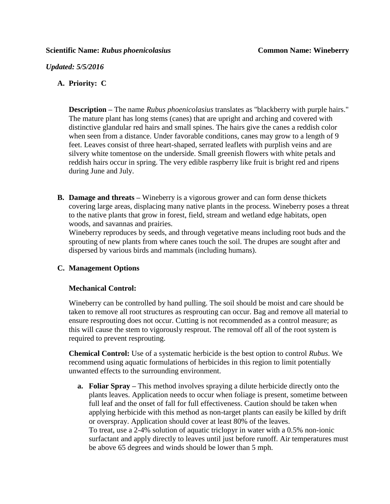*Updated: 5/5/2016*

# **A. Priority: C**

**Description –** The name *Rubus phoenicolasius* translates as "blackberry with purple hairs." The mature plant has long stems (canes) that are upright and arching and covered with distinctive glandular red hairs and small spines. The hairs give the canes a reddish color when seen from a distance. Under favorable conditions, canes may grow to a length of 9 feet. Leaves consist of three heart-shaped, serrated leaflets with purplish veins and are silvery white tomentose on the underside. Small greenish flowers with white petals and reddish hairs occur in spring. The very edible raspberry like fruit is bright red and ripens during June and July.

**B. Damage and threats –** Wineberry is a vigorous grower and can form dense thickets covering large areas, displacing many native plants in the process. Wineberry poses a threat to the native plants that grow in forest, field, stream and wetland edge habitats, open woods, and savannas and prairies.

Wineberry reproduces by seeds, and through vegetative means including root buds and the sprouting of new plants from where canes touch the soil. The drupes are sought after and dispersed by various birds and mammals (including humans).

# **C. Management Options**

# **Mechanical Control:**

Wineberry can be controlled by hand pulling. The soil should be moist and care should be taken to remove all root structures as resprouting can occur. Bag and remove all material to ensure resprouting does not occur. Cutting is not recommended as a control measure; as this will cause the stem to vigorously resprout. The removal off all of the root system is required to prevent resprouting.

**Chemical Control:** Use of a systematic herbicide is the best option to control *Rubus*. We recommend using aquatic formulations of herbicides in this region to limit potentially unwanted effects to the surrounding environment.

**a. Foliar Spray –** This method involves spraying a dilute herbicide directly onto the plants leaves. Application needs to occur when foliage is present, sometime between full leaf and the onset of fall for full effectiveness. Caution should be taken when applying herbicide with this method as non-target plants can easily be killed by drift or overspray. Application should cover at least 80% of the leaves. To treat, use a 2-4% solution of aquatic triclopyr in water with a 0.5% non-ionic surfactant and apply directly to leaves until just before runoff. Air temperatures must be above 65 degrees and winds should be lower than 5 mph.